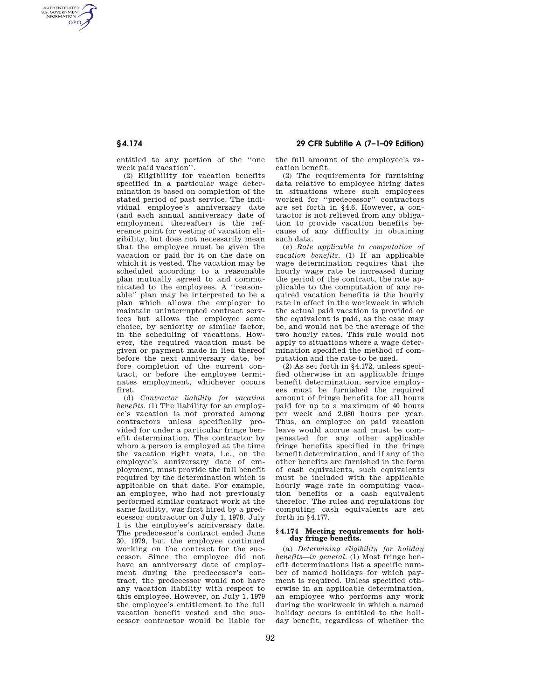AUTHENTICATED<br>U.S. GOVERNMENT<br>INFORMATION **GPO** 

> entitled to any portion of the ''one week paid vacation''.

(2) Eligibility for vacation benefits specified in a particular wage determination is based on completion of the stated period of past service. The individual employee's anniversary date (and each annual anniversary date of employment thereafter) is the reference point for vesting of vacation eligibility, but does not necessarily mean that the employee must be given the vacation or paid for it on the date on which it is vested. The vacation may be scheduled according to a reasonable plan mutually agreed to and communicated to the employees. A ''reasonable'' plan may be interpreted to be a plan which allows the employer to maintain uninterrupted contract services but allows the employee some choice, by seniority or similar factor, in the scheduling of vacations. However, the required vacation must be given or payment made in lieu thereof before the next anniversary date, before completion of the current contract, or before the employee terminates employment, whichever occurs first.

(d) *Contractor liability for vacation benefits.* (1) The liability for an employee's vacation is not prorated among contractors unless specifically provided for under a particular fringe benefit determination. The contractor by whom a person is employed at the time the vacation right vests, i.e., on the employee's anniversary date of employment, must provide the full benefit required by the determination which is applicable on that date. For example, an employee, who had not previously performed similar contract work at the same facility, was first hired by a predecessor contractor on July 1, 1978. July 1 is the employee's anniversary date. The predecessor's contract ended June 30, 1979, but the employee continued working on the contract for the successor. Since the employee did not have an anniversary date of employment during the predecessor's contract, the predecessor would not have any vacation liability with respect to this employee. However, on July 1, 1979 the employee's entitlement to the full vacation benefit vested and the successor contractor would be liable for

**§ 4.174 29 CFR Subtitle A (7–1–09 Edition)** 

the full amount of the employee's vacation benefit.

(2) The requirements for furnishing data relative to employee hiring dates in situations where such employees worked for ''predecessor'' contractors are set forth in §4.6. However, a contractor is not relieved from any obligation to provide vacation benefits because of any difficulty in obtaining such data.

(e) *Rate applicable to computation of vacation benefits.* (1) If an applicable wage determination requires that the hourly wage rate be increased during the period of the contract, the rate applicable to the computation of any required vacation benefits is the hourly rate in effect in the workweek in which the actual paid vacation is provided or the equivalent is paid, as the case may be, and would not be the average of the two hourly rates. This rule would not apply to situations where a wage determination specified the method of computation and the rate to be used.

(2) As set forth in §4.172, unless specified otherwise in an applicable fringe benefit determination, service employees must be furnished the required amount of fringe benefits for all hours paid for up to a maximum of 40 hours per week and 2,080 hours per year. Thus, an employee on paid vacation leave would accrue and must be compensated for any other applicable fringe benefits specified in the fringe benefit determination, and if any of the other benefits are furnished in the form of cash equivalents, such equivalents must be included with the applicable hourly wage rate in computing vacation benefits or a cash equivalent therefor. The rules and regulations for computing cash equivalents are set forth in  $\S$ 4.177.

## **§ 4.174 Meeting requirements for holiday fringe benefits.**

(a) *Determining eligibility for holiday benefits—in general.* (1) Most fringe benefit determinations list a specific number of named holidays for which payment is required. Unless specified otherwise in an applicable determination, an employee who performs any work during the workweek in which a named holiday occurs is entitled to the holiday benefit, regardless of whether the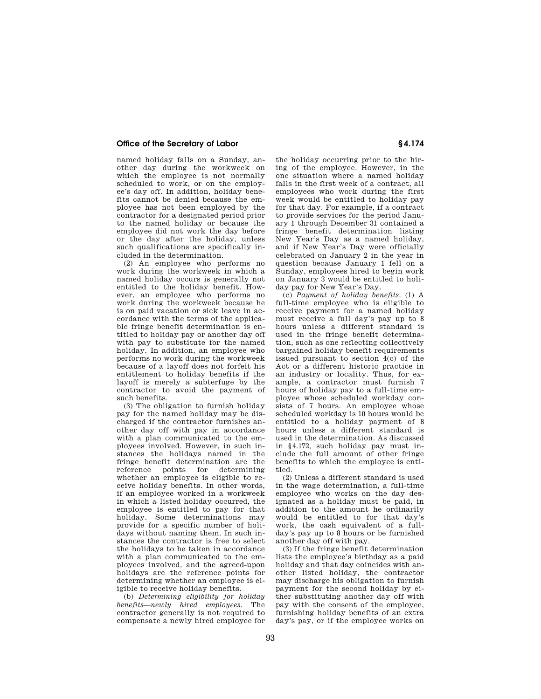## **Office of the Secretary of Labor § 4.174**

named holiday falls on a Sunday, another day during the workweek on which the employee is not normally scheduled to work, or on the employee's day off. In addition, holiday benefits cannot be denied because the employee has not been employed by the contractor for a designated period prior to the named holiday or because the employee did not work the day before or the day after the holiday, unless such qualifications are specifically included in the determination.

(2) An employee who performs no work during the workweek in which a named holiday occurs is generally not entitled to the holiday benefit. However, an employee who performs no work during the workweek because he is on paid vacation or sick leave in accordance with the terms of the applicable fringe benefit determination is entitled to holiday pay or another day off with pay to substitute for the named holiday. In addition, an employee who performs no work during the workweek because of a layoff does not forfeit his entitlement to holiday benefits if the layoff is merely a subterfuge by the contractor to avoid the payment of such benefits.

(3) The obligation to furnish holiday pay for the named holiday may be discharged if the contractor furnishes another day off with pay in accordance with a plan communicated to the employees involved. However, in such instances the holidays named in the fringe benefit determination are the<br>reference points for determining reference points for whether an employee is eligible to receive holiday benefits. In other words, if an employee worked in a workweek in which a listed holiday occurred, the employee is entitled to pay for that holiday. Some determinations may provide for a specific number of holidays without naming them. In such instances the contractor is free to select the holidays to be taken in accordance with a plan communicated to the employees involved, and the agreed-upon holidays are the reference points for determining whether an employee is eligible to receive holiday benefits.

(b) *Determining eligibility for holiday benefits—newly hired employees.* The contractor generally is not required to compensate a newly hired employee for

the holiday occurring prior to the hiring of the employee. However, in the one situation where a named holiday falls in the first week of a contract, all employees who work during the first week would be entitled to holiday pay for that day. For example, if a contract to provide services for the period January 1 through December 31 contained a fringe benefit determination listing New Year's Day as a named holiday, and if New Year's Day were officially celebrated on January 2 in the year in question because January 1 fell on a Sunday, employees hired to begin work on January 3 would be entitled to holiday pay for New Year's Day.

(c) *Payment of holiday benefits.* (1) A full-time employee who is eligible to receive payment for a named holiday must receive a full day's pay up to 8 hours unless a different standard is used in the fringe benefit determination, such as one reflecting collectively bargained holiday benefit requirements issued pursuant to section 4(c) of the Act or a different historic practice in an industry or locality. Thus, for example, a contractor must furnish 7 hours of holiday pay to a full-time employee whose scheduled workday consists of 7 hours. An employee whose scheduled workday is 10 hours would be entitled to a holiday payment of 8 hours unless a different standard is used in the determination. As discussed in §4.172, such holiday pay must include the full amount of other fringe benefits to which the employee is entitled.

(2) Unless a different standard is used in the wage determination, a full-time employee who works on the day designated as a holiday must be paid, in addition to the amount he ordinarily would be entitled to for that day's work, the cash equivalent of a fullday's pay up to 8 hours or be furnished another day off with pay.

(3) If the fringe benefit determination lists the employee's birthday as a paid holiday and that day coincides with another listed holiday, the contractor may discharge his obligation to furnish payment for the second holiday by either substituting another day off with pay with the consent of the employee, furnishing holiday benefits of an extra day's pay, or if the employee works on